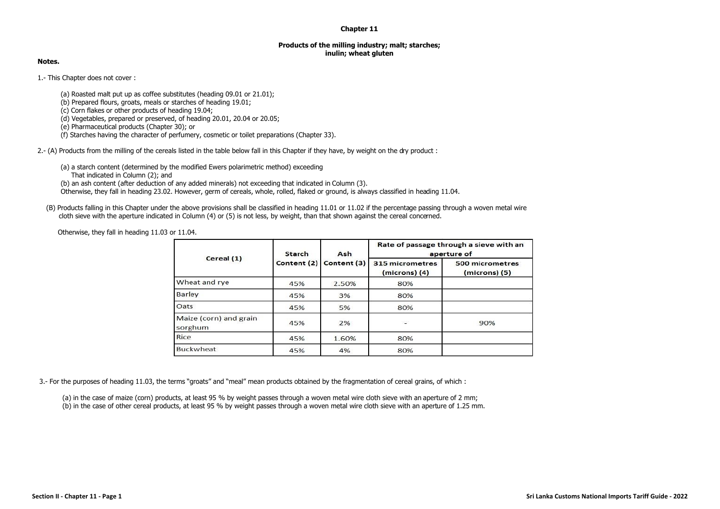## **Chapter 11**

## **Products of the milling industry; malt; starches; inulin; wheat gluten**

## **Notes.**

1.- This Chapter does not cover :

- (a) Roasted malt put up as coffee substitutes (heading 09.01 or 21.01);
- (b) Prepared flours, groats, meals or starches of heading 19.01;
- (c) Corn flakes or other products of heading 19.04;
- (d) Vegetables, prepared or preserved, of heading 20.01, 20.04 or 20.05;
- (e) Pharmaceutical products (Chapter 30); or
- (f) Starches having the character of perfumery, cosmetic or toilet preparations (Chapter 33).

2.- (A) Products from the milling of the cereals listed in the table below fall in this Chapter if they have, by weight on the dry product :

(a) a starch content (determined by the modified Ewers polarimetric method) exceeding

That indicated in Column (2); and

(b) an ash content (after deduction of any added minerals) not exceeding that indicated in Column (3).

Other Otherwise, they fall in heading 23.02. However, germ of cereals, whole, rolled, flaked or ground, is always classified in heading 11.04.

(B) Products falling in this Chapter under the above provisions shall be classified in heading 11.01 or 11.02 if the percentage passing through a woven metal wire cloth sieve with the aperture indicated in Column (4) or (5) is not less, by weight, than that shown against the cereal concerned.

Otherwise, they fall in heading 11.03 or 11.04.

|                                   | <b>Starch</b> | Ash         | Rate of passage through a sieve with an<br>aperture of |                                    |  |  |  |  |  |  |
|-----------------------------------|---------------|-------------|--------------------------------------------------------|------------------------------------|--|--|--|--|--|--|
| Cereal $(1)$                      | Content (2)   | Content (3) | 315 micrometres<br>$(microns)$ (4)                     | 500 micrometres<br>$(microns)$ (5) |  |  |  |  |  |  |
| Wheat and rve                     | 45%           | 2.50%       | 80%                                                    |                                    |  |  |  |  |  |  |
| Barley                            | 45%           | 3%          | 80%                                                    |                                    |  |  |  |  |  |  |
| Oats                              | 45%           | 5%          | 80%                                                    |                                    |  |  |  |  |  |  |
| Maize (corn) and grain<br>sorghum | 45%           | 2%          | 22                                                     | 90%                                |  |  |  |  |  |  |
| <b>Rice</b>                       | 45%           | 1.60%       | 80%                                                    |                                    |  |  |  |  |  |  |
| Buckwheat                         | 45%           | 4%          | 80%                                                    |                                    |  |  |  |  |  |  |

3.- For the purposes of heading 11.03, the terms "groats" and "meal" mean products obtained by the fragmentation of cereal grains, of which :

- (a) in the case of maize (corn) products, at least 95 % by weight passes through a woven metal wire cloth sieve with an aperture of 2 mm;
- (b) in the case of other cereal products, at least 95 % by weight passes through a woven metal wire cloth sieve with an aperture of 1.25 mm.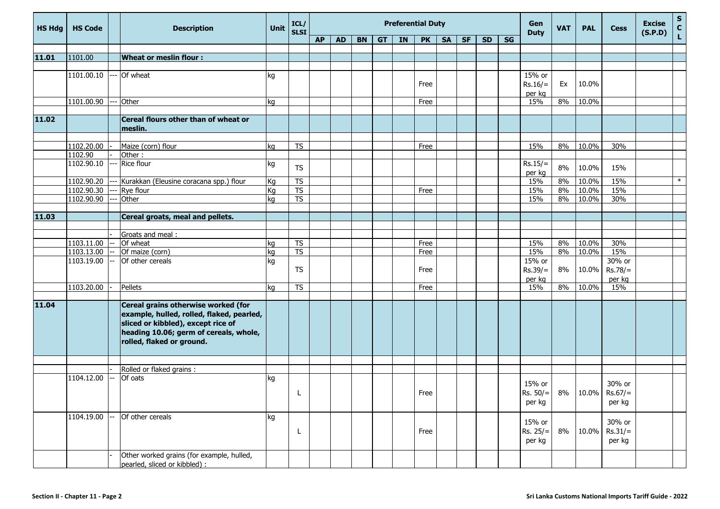| <b>HS Hdg</b> | <b>HS Code</b>        | <b>Description</b>                                                                                                                                                                            | Unit | ICL/<br><b>SLSI</b>      |           | <b>Preferential Duty</b> |           |           |    |           |           |           |           |    | Gen<br><b>Duty</b>                                   | <b>VAT</b> | <b>PAL</b> | <b>Cess</b>         | <b>Excise</b><br>(S.P.D) | ${\sf s}$<br>$\mathbf{C}$ |
|---------------|-----------------------|-----------------------------------------------------------------------------------------------------------------------------------------------------------------------------------------------|------|--------------------------|-----------|--------------------------|-----------|-----------|----|-----------|-----------|-----------|-----------|----|------------------------------------------------------|------------|------------|---------------------|--------------------------|---------------------------|
|               |                       |                                                                                                                                                                                               |      |                          | <b>AP</b> | <b>AD</b>                | <b>BN</b> | <b>GT</b> | IN | <b>PK</b> | <b>SA</b> | <b>SF</b> | <b>SD</b> | SG |                                                      |            |            |                     |                          | $\mathbf L$               |
| 11.01         | 1101.00               | <b>Wheat or meslin flour:</b>                                                                                                                                                                 |      |                          |           |                          |           |           |    |           |           |           |           |    |                                                      |            |            |                     |                          |                           |
|               |                       |                                                                                                                                                                                               |      |                          |           |                          |           |           |    |           |           |           |           |    |                                                      |            |            |                     |                          |                           |
|               | 1101.00.10            | --- Of wheat                                                                                                                                                                                  | kg   |                          |           |                          |           |           |    |           |           |           |           |    | 15% or                                               |            |            |                     |                          |                           |
|               |                       |                                                                                                                                                                                               |      |                          |           |                          |           |           |    | Free      |           |           |           |    | $Rs.16/=$                                            | Ex         | 10.0%      |                     |                          |                           |
|               |                       |                                                                                                                                                                                               |      |                          |           |                          |           |           |    |           |           |           |           |    | per kg                                               |            |            |                     |                          |                           |
|               | 1101.00.90            | Other                                                                                                                                                                                         | kg   |                          |           |                          |           |           |    | Free      |           |           |           |    | 15%                                                  | 8%         | 10.0%      |                     |                          |                           |
|               |                       |                                                                                                                                                                                               |      |                          |           |                          |           |           |    |           |           |           |           |    |                                                      |            |            |                     |                          |                           |
| 11.02         |                       | Cereal flours other than of wheat or                                                                                                                                                          |      |                          |           |                          |           |           |    |           |           |           |           |    |                                                      |            |            |                     |                          |                           |
|               |                       | meslin.                                                                                                                                                                                       |      |                          |           |                          |           |           |    |           |           |           |           |    |                                                      |            |            |                     |                          |                           |
|               |                       |                                                                                                                                                                                               |      |                          |           |                          |           |           |    |           |           |           |           |    |                                                      |            |            |                     |                          |                           |
|               | 1102.20.00            | Maize (corn) flour                                                                                                                                                                            | kq   | <b>TS</b>                |           |                          |           |           |    | Free      |           |           |           |    | 15%                                                  | 8%         | 10.0%      | 30%                 |                          |                           |
|               | 1102.90<br>1102.90.10 | Other:<br>Rice flour                                                                                                                                                                          |      |                          |           |                          |           |           |    |           |           |           |           |    | $Rs.15/=$                                            |            |            |                     |                          |                           |
|               |                       |                                                                                                                                                                                               | kg   | <b>TS</b>                |           |                          |           |           |    |           |           |           |           |    | per kg                                               | 8%         | 10.0%      | 15%                 |                          |                           |
|               | 1102.90.20            | Kurakkan (Eleusine coracana spp.) flour                                                                                                                                                       | Kg   | $\overline{\text{TS}}$   |           |                          |           |           |    |           |           |           |           |    | 15%                                                  | 8%         | 10.0%      | 15%                 |                          | $\ast$                    |
|               | 1102.90.30            | Rye flour                                                                                                                                                                                     | Kg   | $\overline{\mathsf{TS}}$ |           |                          |           |           |    | Free      |           |           |           |    | 15%                                                  | 8%         | 10.0%      | 15%                 |                          |                           |
|               | 1102.90.90            | Other                                                                                                                                                                                         | ka   | $\overline{\text{TS}}$   |           |                          |           |           |    |           |           |           |           |    | 15%                                                  | 8%         | 10.0%      | 30%                 |                          |                           |
|               |                       |                                                                                                                                                                                               |      |                          |           |                          |           |           |    |           |           |           |           |    |                                                      |            |            |                     |                          |                           |
| 11.03         |                       | Cereal groats, meal and pellets.                                                                                                                                                              |      |                          |           |                          |           |           |    |           |           |           |           |    |                                                      |            |            |                     |                          |                           |
|               |                       |                                                                                                                                                                                               |      |                          |           |                          |           |           |    |           |           |           |           |    |                                                      |            |            |                     |                          |                           |
|               |                       | Groats and meal :                                                                                                                                                                             |      |                          |           |                          |           |           |    |           |           |           |           |    |                                                      |            |            |                     |                          |                           |
|               | 1103.11.00            | Of wheat                                                                                                                                                                                      | kg   | <b>TS</b>                |           |                          |           |           |    | Free      |           |           |           |    | 15%                                                  | 8%         | 10.0%      | 30%                 |                          |                           |
|               | 1103.13.00            | Of maize (corn)                                                                                                                                                                               | kg   | $\overline{\text{TS}}$   |           |                          |           |           |    | Free      |           |           |           |    | 15%                                                  |            | 8% 10.0%   | 15%                 |                          |                           |
|               | 1103.19.00            | Of other cereals                                                                                                                                                                              | kg   |                          |           |                          |           |           |    |           |           |           |           |    | 15% or                                               |            |            | 30% or              |                          |                           |
|               |                       |                                                                                                                                                                                               |      | <b>TS</b>                |           |                          |           |           |    | Free      |           |           |           |    | $Rs.39/=$                                            | 8%         | 10.0%      | $Rs.78/=$           |                          |                           |
|               | 1103.20.00            | Pellets                                                                                                                                                                                       | kq   | <b>TS</b>                |           |                          |           |           |    | Free      |           |           |           |    | per kg<br>15%                                        | 8%         | $10.0\%$   | per kg<br>15%       |                          |                           |
|               |                       |                                                                                                                                                                                               |      |                          |           |                          |           |           |    |           |           |           |           |    |                                                      |            |            |                     |                          |                           |
| 11.04         |                       | Cereal grains otherwise worked (for<br>example, hulled, rolled, flaked, pearled,<br>sliced or kibbled), except rice of<br>heading 10.06; germ of cereals, whole,<br>rolled, flaked or ground. |      |                          |           |                          |           |           |    |           |           |           |           |    |                                                      |            |            |                     |                          |                           |
|               |                       |                                                                                                                                                                                               |      |                          |           |                          |           |           |    |           |           |           |           |    |                                                      |            |            |                     |                          |                           |
|               |                       | Rolled or flaked grains :                                                                                                                                                                     |      |                          |           |                          |           |           |    |           |           |           |           |    |                                                      |            |            |                     |                          |                           |
|               | 1104.12.00            | Of oats                                                                                                                                                                                       | kg   | L                        |           |                          |           |           |    | Free      |           |           |           |    | 15% or<br>Rs. 50/= $8\%$   10.0%   Rs.67/=<br>per kg |            |            | 30% or<br>per kg    |                          |                           |
|               | 1104.19.00            | Of other cereals                                                                                                                                                                              | kg   | L                        |           |                          |           |           |    | Free      |           |           |           |    | 15% or<br>$Rs. 25/=$                                 | 8%         | 10.0%      | 30% or<br>$Rs.31/=$ |                          |                           |
|               |                       | Other worked grains (for example, hulled,                                                                                                                                                     |      |                          |           |                          |           |           |    |           |           |           |           |    | per kg                                               |            |            | per kg              |                          |                           |
|               |                       | pearled, sliced or kibbled) :                                                                                                                                                                 |      |                          |           |                          |           |           |    |           |           |           |           |    |                                                      |            |            |                     |                          |                           |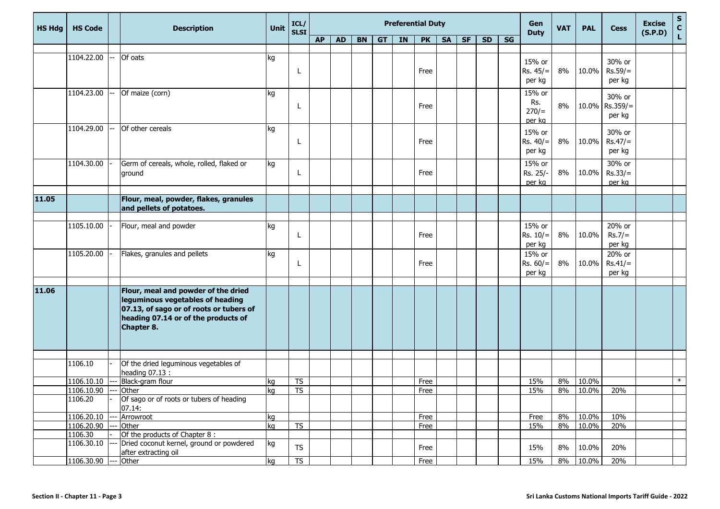| HS Hdg | <b>HS Code</b>        | <b>Description</b>                                                      | Unit | ICL/<br><b>SLSI</b> |           | <b>Preferential Duty</b> |           |           |    |           |           |           |           |    | Gen<br><b>Duty</b> | <b>VAT</b> | <b>PAL</b> | <b>Cess</b>    | <b>Excise</b><br>(S.P.D) | $S_{C}$ |
|--------|-----------------------|-------------------------------------------------------------------------|------|---------------------|-----------|--------------------------|-----------|-----------|----|-----------|-----------|-----------|-----------|----|--------------------|------------|------------|----------------|--------------------------|---------|
|        |                       |                                                                         |      |                     | <b>AP</b> | <b>AD</b>                | <b>BN</b> | <b>GT</b> | IN | <b>PK</b> | <b>SA</b> | <b>SF</b> | <b>SD</b> | SG |                    |            |            |                |                          | L       |
|        | 1104.22.00            | Of oats                                                                 | kg   |                     |           |                          |           |           |    |           |           |           |           |    |                    |            |            |                |                          |         |
|        |                       |                                                                         |      |                     |           |                          |           |           |    |           |           |           |           |    | 15% or             |            |            | 30% or         |                          |         |
|        |                       |                                                                         |      | L                   |           |                          |           |           |    | Free      |           |           |           |    | $Rs. 45/=$         | 8%         | 10.0%      | $Rs.59/=$      |                          |         |
|        |                       |                                                                         |      |                     |           |                          |           |           |    |           |           |           |           |    | per kg             |            |            | per kg         |                          |         |
|        | 1104.23.00            | Of maize (corn)                                                         | kg   |                     |           |                          |           |           |    |           |           |           |           |    | 15% or             |            |            | 30% or         |                          |         |
|        |                       |                                                                         |      | L                   |           |                          |           |           |    | Free      |           |           |           |    | Rs.<br>270/        | 8%         |            | 10.0% Rs.359/= |                          |         |
|        |                       |                                                                         |      |                     |           |                          |           |           |    |           |           |           |           |    | per kg             |            |            | per kg         |                          |         |
|        | 1104.29.00            | Of other cereals                                                        | kg   |                     |           |                          |           |           |    |           |           |           |           |    | 15% or             |            |            | 30% or         |                          |         |
|        |                       |                                                                         |      | L                   |           |                          |           |           |    | Free      |           |           |           |    | $Rs. 40/=$         | 8%         | 10.0%      | $Rs.47/=$      |                          |         |
|        |                       |                                                                         |      |                     |           |                          |           |           |    |           |           |           |           |    | per kg             |            |            | per kg         |                          |         |
|        | 1104.30.00            |                                                                         |      |                     |           |                          |           |           |    |           |           |           |           |    | 15% or             |            |            | 30% or         |                          |         |
|        |                       | Germ of cereals, whole, rolled, flaked or<br>ground                     | kg   | L                   |           |                          |           |           |    | Free      |           |           |           |    | Rs. 25/-           | 8%         | 10.0%      | $Rs.33/=$      |                          |         |
|        |                       |                                                                         |      |                     |           |                          |           |           |    |           |           |           |           |    | per kg             |            |            | per kg         |                          |         |
|        |                       |                                                                         |      |                     |           |                          |           |           |    |           |           |           |           |    |                    |            |            |                |                          |         |
| 11.05  |                       | Flour, meal, powder, flakes, granules                                   |      |                     |           |                          |           |           |    |           |           |           |           |    |                    |            |            |                |                          |         |
|        |                       | and pellets of potatoes.                                                |      |                     |           |                          |           |           |    |           |           |           |           |    |                    |            |            |                |                          |         |
|        | 1105.10.00            | Flour, meal and powder                                                  | kg   |                     |           |                          |           |           |    |           |           |           |           |    | 15% or             |            |            | 20% or         |                          |         |
|        |                       |                                                                         |      | L                   |           |                          |           |           |    | Free      |           |           |           |    | $Rs. 10/=$         | 8%         | 10.0%      | $Rs.7/=$       |                          |         |
|        |                       |                                                                         |      |                     |           |                          |           |           |    |           |           |           |           |    | per kg             |            |            | per kg         |                          |         |
|        | 1105.20.00            | Flakes, granules and pellets                                            | kg   |                     |           |                          |           |           |    |           |           |           |           |    | 15% or             |            |            | 20% or         |                          |         |
|        |                       |                                                                         |      | L                   |           |                          |           |           |    | Free      |           |           |           |    | $Rs. 60/=$         | 8%         | 10.0%      | $Rs.41/=$      |                          |         |
|        |                       |                                                                         |      |                     |           |                          |           |           |    |           |           |           |           |    | per kg             |            |            | per kg         |                          |         |
|        |                       |                                                                         |      |                     |           |                          |           |           |    |           |           |           |           |    |                    |            |            |                |                          |         |
| 11.06  |                       | Flour, meal and powder of the dried<br>leguminous vegetables of heading |      |                     |           |                          |           |           |    |           |           |           |           |    |                    |            |            |                |                          |         |
|        |                       | 07.13, of sago or of roots or tubers of                                 |      |                     |           |                          |           |           |    |           |           |           |           |    |                    |            |            |                |                          |         |
|        |                       | heading 07.14 or of the products of                                     |      |                     |           |                          |           |           |    |           |           |           |           |    |                    |            |            |                |                          |         |
|        |                       | Chapter 8.                                                              |      |                     |           |                          |           |           |    |           |           |           |           |    |                    |            |            |                |                          |         |
|        |                       |                                                                         |      |                     |           |                          |           |           |    |           |           |           |           |    |                    |            |            |                |                          |         |
|        |                       |                                                                         |      |                     |           |                          |           |           |    |           |           |           |           |    |                    |            |            |                |                          |         |
|        |                       |                                                                         |      |                     |           |                          |           |           |    |           |           |           |           |    |                    |            |            |                |                          |         |
|        | 1106.10               | Of the dried leguminous vegetables of<br>heading 07.13 :                |      |                     |           |                          |           |           |    |           |           |           |           |    |                    |            |            |                |                          |         |
|        | 1106.10.10            | Black-gram flour                                                        | kg   | <b>TS</b>           |           |                          |           |           |    | Free      |           |           |           |    | 15%                | 8%         | $10.0\%$   |                |                          | $\ast$  |
|        | 1106.10.90            | Other                                                                   | kg   | <b>TS</b>           |           |                          |           |           |    | Free      |           |           |           |    | 15%                | 8%         | 10.0%      | 20%            |                          |         |
|        | 1106.20               | Of sago or of roots or tubers of heading                                |      |                     |           |                          |           |           |    |           |           |           |           |    |                    |            |            |                |                          |         |
|        |                       | 07.14:                                                                  |      |                     |           |                          |           |           |    |           |           |           |           |    |                    |            |            |                |                          |         |
|        | 1106.20.10            | Arrowroot                                                               | kg   | TS                  |           |                          |           |           |    | Free      |           |           |           |    | Free<br>15%        |            | 8% 10.0%   | 10%            |                          |         |
|        | 1106.20.90<br>1106.30 | Other<br>Of the products of Chapter 8:                                  | kg   |                     |           |                          |           |           |    | Free      |           |           |           |    |                    |            | 8% 10.0%   | 20%            |                          |         |
|        | 1106.30.10            | Dried coconut kernel, ground or powdered                                | kg   |                     |           |                          |           |           |    |           |           |           |           |    |                    |            |            |                |                          |         |
|        |                       | after extracting oil                                                    |      | <b>TS</b>           |           |                          |           |           |    | Free      |           |           |           |    | 15%                |            | 8% 10.0%   | 20%            |                          |         |
|        | 1106.30.90 --- Other  |                                                                         | kg   | TS                  |           |                          |           |           |    | Free      |           |           |           |    | 15%                |            | 8% 10.0%   | 20%            |                          |         |